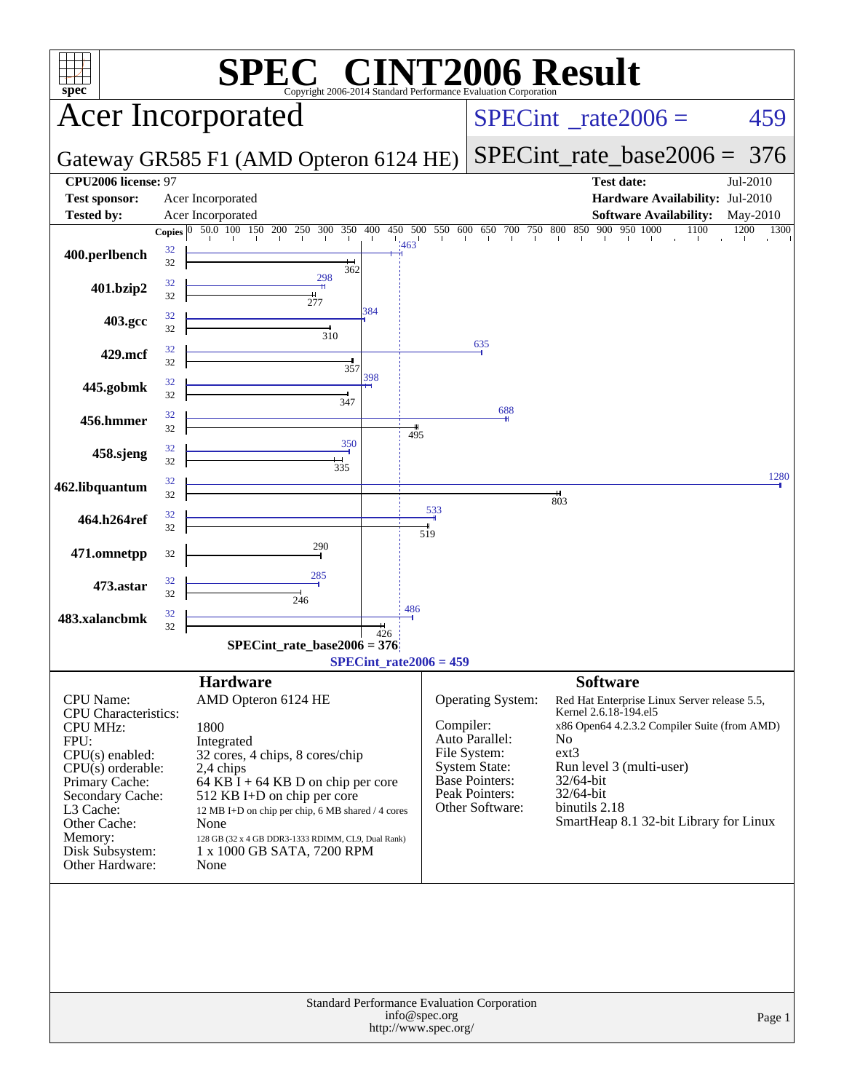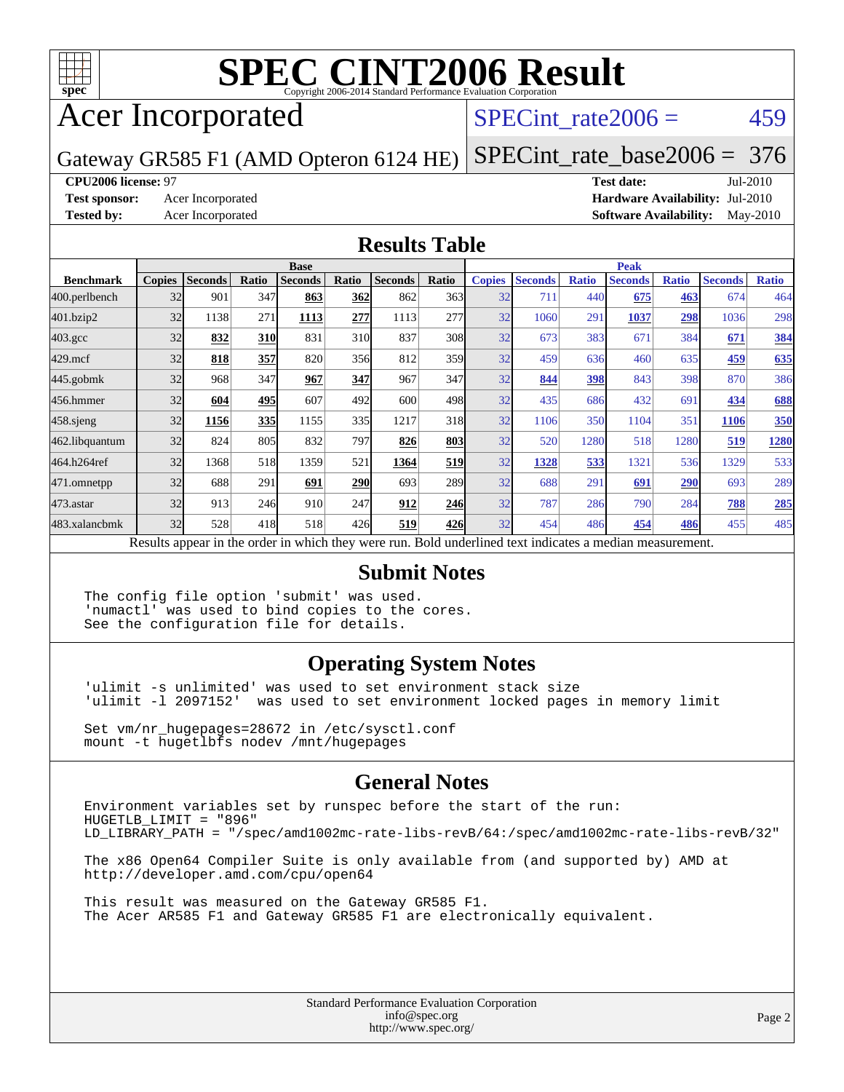

# **[SPEC CINT2006 Result](http://www.spec.org/auto/cpu2006/Docs/result-fields.html#SPECCINT2006Result)**

# Acer Incorporated

### SPECint rate $2006 = 459$

Gateway GR585 F1 (AMD Opteron 6124 HE)

[SPECint\\_rate\\_base2006 =](http://www.spec.org/auto/cpu2006/Docs/result-fields.html#SPECintratebase2006) 376

### **[CPU2006 license:](http://www.spec.org/auto/cpu2006/Docs/result-fields.html#CPU2006license)** 97 **[Test date:](http://www.spec.org/auto/cpu2006/Docs/result-fields.html#Testdate)** Jul-2010

**[Test sponsor:](http://www.spec.org/auto/cpu2006/Docs/result-fields.html#Testsponsor)** Acer Incorporated **[Hardware Availability:](http://www.spec.org/auto/cpu2006/Docs/result-fields.html#HardwareAvailability)** Jul-2010 **[Tested by:](http://www.spec.org/auto/cpu2006/Docs/result-fields.html#Testedby)** Acer Incorporated **[Software Availability:](http://www.spec.org/auto/cpu2006/Docs/result-fields.html#SoftwareAvailability)** May-2010

### **[Results Table](http://www.spec.org/auto/cpu2006/Docs/result-fields.html#ResultsTable)**

|                                                                                                          | <b>Base</b>   |                |            |                |            |                |       | <b>Peak</b>   |                |              |                |              |                |              |
|----------------------------------------------------------------------------------------------------------|---------------|----------------|------------|----------------|------------|----------------|-------|---------------|----------------|--------------|----------------|--------------|----------------|--------------|
| <b>Benchmark</b>                                                                                         | <b>Copies</b> | <b>Seconds</b> | Ratio      | <b>Seconds</b> | Ratio      | <b>Seconds</b> | Ratio | <b>Copies</b> | <b>Seconds</b> | <b>Ratio</b> | <b>Seconds</b> | <b>Ratio</b> | <b>Seconds</b> | <b>Ratio</b> |
| 400.perlbench                                                                                            | 32            | 901            | 347        | 863            | <b>362</b> | 862            | 363   | 32            | 711            | 440          | 675            | 463          | 674            | 464          |
| 401.bzip2                                                                                                | 32            | 1138           | 271        | 1113           | 277        | 1113           | 277   | 32            | 1060           | 291          | 1037           | <u>298</u>   | 1036           | 298          |
| $403.\mathrm{gcc}$                                                                                       | 32            | 832            | 310        | 831            | 310        | 837            | 308   | 32            | 673            | 383          | 671            | 384          | 671            | 384          |
| $429$ .mcf                                                                                               | 32            | 818            | 357        | 820            | 356        | 812            | 359   | 32            | 459            | 636          | 460            | 635          | 459            | 635          |
| $445$ .gobmk                                                                                             | 32            | 968            | 347        | 967            | 347        | 967            | 347   | 32            | 844            | 398          | 843            | 398          | 870            | 386          |
| 456.hmmer                                                                                                | 32            | 604            | 495        | 607            | 492        | 600            | 498   | 32            | 435            | 686          | 432            | 691          | 434            | 688          |
| $458$ .sjeng                                                                                             | 32            | 1156           | <b>335</b> | 1155           | 335        | 1217           | 318   | 32            | 1106           | 350          | 1104           | 351          | 1106           | <b>350</b>   |
| 462.libquantum                                                                                           | 32            | 824            | 805        | 832            | 797        | 826            | 803   | 32            | 520            | 1280         | 518            | 1280         | 519            | 1280         |
| 464.h264ref                                                                                              | 32            | 1368           | 518        | 1359           | 521        | 1364           | 519   | 32            | 1328           | 533          | 1321           | 536          | 1329           | 533          |
| 471.omnetpp                                                                                              | 32            | 688            | 291        | 691            | <b>290</b> | 693            | 289   | 32            | 688            | 291          | 691            | 290          | 693            | 289          |
| $473$ . astar                                                                                            | 32            | 913            | 246        | 910            | 247        | 912            | 246   | 32            | 787            | 286          | 790            | 284          | 788            | 285          |
| 483.xalancbmk                                                                                            | 32            | 528            | 418        | 518            | 426        | 519            | 426   | 32            | 454            | 486          | 454            | 486          | 455            | 485          |
| Results appear in the order in which they were run. Bold underlined text indicates a median measurement. |               |                |            |                |            |                |       |               |                |              |                |              |                |              |

### **[Submit Notes](http://www.spec.org/auto/cpu2006/Docs/result-fields.html#SubmitNotes)**

The config file option 'submit' was used. 'numactl' was used to bind copies to the cores. See the configuration file for details.

### **[Operating System Notes](http://www.spec.org/auto/cpu2006/Docs/result-fields.html#OperatingSystemNotes)**

'ulimit -s unlimited' was used to set environment stack size 'ulimit -l 2097152' was used to set environment locked pages in memory limit

Set vm/nr\_hugepages=28672 in /etc/sysctl.conf mount -t hugetlbfs nodev /mnt/hugepages

### **[General Notes](http://www.spec.org/auto/cpu2006/Docs/result-fields.html#GeneralNotes)**

Environment variables set by runspec before the start of the run: HUGETLB\_LIMIT = "896" LD\_LIBRARY\_PATH = "/spec/amd1002mc-rate-libs-revB/64:/spec/amd1002mc-rate-libs-revB/32"

The x86 Open64 Compiler Suite is only available from (and supported by) AMD at <http://developer.amd.com/cpu/open64>

This result was measured on the Gateway GR585 F1. The Acer AR585 F1 and Gateway GR585 F1 are electronically equivalent.

> Standard Performance Evaluation Corporation [info@spec.org](mailto:info@spec.org) <http://www.spec.org/>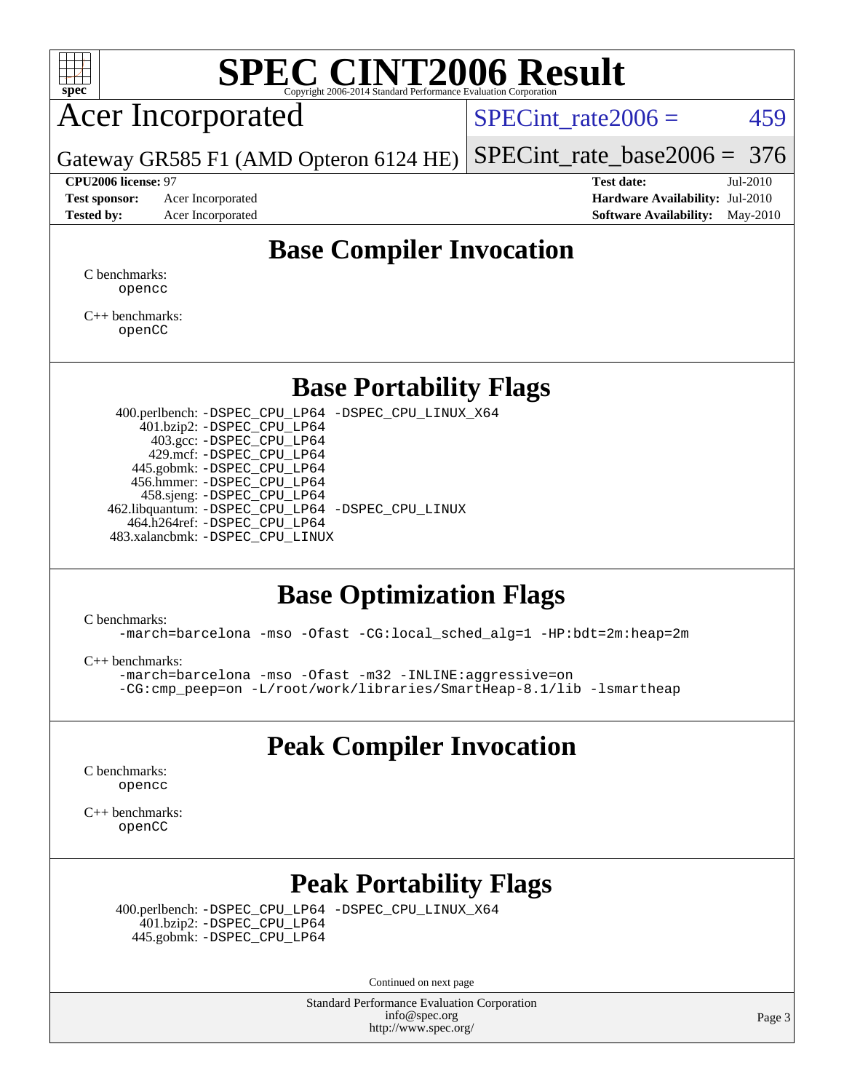

# **[SPEC CINT2006 Result](http://www.spec.org/auto/cpu2006/Docs/result-fields.html#SPECCINT2006Result)**

# Acer Incorporated

SPECint rate $2006 = 459$ 

[SPECint\\_rate\\_base2006 =](http://www.spec.org/auto/cpu2006/Docs/result-fields.html#SPECintratebase2006) 376

Gateway GR585 F1 (AMD Opteron 6124 HE)

**[Test sponsor:](http://www.spec.org/auto/cpu2006/Docs/result-fields.html#Testsponsor)** Acer Incorporated **[Hardware Availability:](http://www.spec.org/auto/cpu2006/Docs/result-fields.html#HardwareAvailability)** Jul-2010

**[CPU2006 license:](http://www.spec.org/auto/cpu2006/Docs/result-fields.html#CPU2006license)** 97 **[Test date:](http://www.spec.org/auto/cpu2006/Docs/result-fields.html#Testdate)** Jul-2010 **[Tested by:](http://www.spec.org/auto/cpu2006/Docs/result-fields.html#Testedby)** Acer Incorporated **[Software Availability:](http://www.spec.org/auto/cpu2006/Docs/result-fields.html#SoftwareAvailability)** May-2010

### **[Base Compiler Invocation](http://www.spec.org/auto/cpu2006/Docs/result-fields.html#BaseCompilerInvocation)**

[C benchmarks](http://www.spec.org/auto/cpu2006/Docs/result-fields.html#Cbenchmarks): [opencc](http://www.spec.org/cpu2006/results/res2010q3/cpu2006-20100826-13066.flags.html#user_CCbase_Fopencc)

[C++ benchmarks:](http://www.spec.org/auto/cpu2006/Docs/result-fields.html#CXXbenchmarks) [openCC](http://www.spec.org/cpu2006/results/res2010q3/cpu2006-20100826-13066.flags.html#user_CXXbase_FopenCC)

### **[Base Portability Flags](http://www.spec.org/auto/cpu2006/Docs/result-fields.html#BasePortabilityFlags)**

 400.perlbench: [-DSPEC\\_CPU\\_LP64](http://www.spec.org/cpu2006/results/res2010q3/cpu2006-20100826-13066.flags.html#b400.perlbench_basePORTABILITY_DSPEC_CPU_LP64) [-DSPEC\\_CPU\\_LINUX\\_X64](http://www.spec.org/cpu2006/results/res2010q3/cpu2006-20100826-13066.flags.html#b400.perlbench_baseCPORTABILITY_DSPEC_CPU_LINUX_X64) 401.bzip2: [-DSPEC\\_CPU\\_LP64](http://www.spec.org/cpu2006/results/res2010q3/cpu2006-20100826-13066.flags.html#suite_basePORTABILITY401_bzip2_DSPEC_CPU_LP64) 403.gcc: [-DSPEC\\_CPU\\_LP64](http://www.spec.org/cpu2006/results/res2010q3/cpu2006-20100826-13066.flags.html#suite_basePORTABILITY403_gcc_DSPEC_CPU_LP64) 429.mcf: [-DSPEC\\_CPU\\_LP64](http://www.spec.org/cpu2006/results/res2010q3/cpu2006-20100826-13066.flags.html#suite_basePORTABILITY429_mcf_DSPEC_CPU_LP64) 445.gobmk: [-DSPEC\\_CPU\\_LP64](http://www.spec.org/cpu2006/results/res2010q3/cpu2006-20100826-13066.flags.html#suite_basePORTABILITY445_gobmk_DSPEC_CPU_LP64) 456.hmmer: [-DSPEC\\_CPU\\_LP64](http://www.spec.org/cpu2006/results/res2010q3/cpu2006-20100826-13066.flags.html#suite_basePORTABILITY456_hmmer_DSPEC_CPU_LP64) 458.sjeng: [-DSPEC\\_CPU\\_LP64](http://www.spec.org/cpu2006/results/res2010q3/cpu2006-20100826-13066.flags.html#suite_basePORTABILITY458_sjeng_DSPEC_CPU_LP64) 462.libquantum: [-DSPEC\\_CPU\\_LP64](http://www.spec.org/cpu2006/results/res2010q3/cpu2006-20100826-13066.flags.html#suite_basePORTABILITY462_libquantum_DSPEC_CPU_LP64) [-DSPEC\\_CPU\\_LINUX](http://www.spec.org/cpu2006/results/res2010q3/cpu2006-20100826-13066.flags.html#b462.libquantum_baseCPORTABILITY_DSPEC_CPU_LINUX) 464.h264ref: [-DSPEC\\_CPU\\_LP64](http://www.spec.org/cpu2006/results/res2010q3/cpu2006-20100826-13066.flags.html#suite_basePORTABILITY464_h264ref_DSPEC_CPU_LP64) 483.xalancbmk: [-DSPEC\\_CPU\\_LINUX](http://www.spec.org/cpu2006/results/res2010q3/cpu2006-20100826-13066.flags.html#b483.xalancbmk_baseCXXPORTABILITY_DSPEC_CPU_LINUX)

### **[Base Optimization Flags](http://www.spec.org/auto/cpu2006/Docs/result-fields.html#BaseOptimizationFlags)**

[C benchmarks](http://www.spec.org/auto/cpu2006/Docs/result-fields.html#Cbenchmarks):

[-march=barcelona](http://www.spec.org/cpu2006/results/res2010q3/cpu2006-20100826-13066.flags.html#user_CCbase_F-march_8ea39521cada96f307a04d0b8b9c6ffb) [-mso](http://www.spec.org/cpu2006/results/res2010q3/cpu2006-20100826-13066.flags.html#user_CCbase_F-mso) [-Ofast](http://www.spec.org/cpu2006/results/res2010q3/cpu2006-20100826-13066.flags.html#user_CCbase_F-Ofast) [-CG:local\\_sched\\_alg=1](http://www.spec.org/cpu2006/results/res2010q3/cpu2006-20100826-13066.flags.html#user_CCbase_F-CG:local_sched_alg_2175ca61f1a2717f1ec57b14995b9e7a) [-HP:bdt=2m:heap=2m](http://www.spec.org/cpu2006/results/res2010q3/cpu2006-20100826-13066.flags.html#user_CCbase_F-HUGEPAGE_855e97383b49831f390a2af16fe7202f)

[C++ benchmarks:](http://www.spec.org/auto/cpu2006/Docs/result-fields.html#CXXbenchmarks)

[-march=barcelona](http://www.spec.org/cpu2006/results/res2010q3/cpu2006-20100826-13066.flags.html#user_CXXbase_F-march_8ea39521cada96f307a04d0b8b9c6ffb) [-mso](http://www.spec.org/cpu2006/results/res2010q3/cpu2006-20100826-13066.flags.html#user_CXXbase_F-mso) [-Ofast](http://www.spec.org/cpu2006/results/res2010q3/cpu2006-20100826-13066.flags.html#user_CXXbase_F-Ofast) [-m32](http://www.spec.org/cpu2006/results/res2010q3/cpu2006-20100826-13066.flags.html#user_CXXbase_F-m32) [-INLINE:aggressive=on](http://www.spec.org/cpu2006/results/res2010q3/cpu2006-20100826-13066.flags.html#user_CXXbase_F-INLINE:aggressive_e14807c0a1e56a6a83cb25ab07c7ae8a) [-CG:cmp\\_peep=on](http://www.spec.org/cpu2006/results/res2010q3/cpu2006-20100826-13066.flags.html#user_CXXbase_F-CG:cmp_peep_ab90c979e95bee1f1f617a32622424ed) [-L/root/work/libraries/SmartHeap-8.1/lib -lsmartheap](http://www.spec.org/cpu2006/results/res2010q3/cpu2006-20100826-13066.flags.html#user_CXXbase_F-L_lib_directory_lsmartheap_9ab549d8336b8b0ffe7b94e3ae706265)

### **[Peak Compiler Invocation](http://www.spec.org/auto/cpu2006/Docs/result-fields.html#PeakCompilerInvocation)**

[C benchmarks](http://www.spec.org/auto/cpu2006/Docs/result-fields.html#Cbenchmarks): [opencc](http://www.spec.org/cpu2006/results/res2010q3/cpu2006-20100826-13066.flags.html#user_CCpeak_Fopencc)

[C++ benchmarks:](http://www.spec.org/auto/cpu2006/Docs/result-fields.html#CXXbenchmarks) [openCC](http://www.spec.org/cpu2006/results/res2010q3/cpu2006-20100826-13066.flags.html#user_CXXpeak_FopenCC)

## **[Peak Portability Flags](http://www.spec.org/auto/cpu2006/Docs/result-fields.html#PeakPortabilityFlags)**

 400.perlbench: [-DSPEC\\_CPU\\_LP64](http://www.spec.org/cpu2006/results/res2010q3/cpu2006-20100826-13066.flags.html#b400.perlbench_peakPORTABILITY_DSPEC_CPU_LP64) [-DSPEC\\_CPU\\_LINUX\\_X64](http://www.spec.org/cpu2006/results/res2010q3/cpu2006-20100826-13066.flags.html#b400.perlbench_peakCPORTABILITY_DSPEC_CPU_LINUX_X64) 401.bzip2: [-DSPEC\\_CPU\\_LP64](http://www.spec.org/cpu2006/results/res2010q3/cpu2006-20100826-13066.flags.html#suite_peakPORTABILITY401_bzip2_DSPEC_CPU_LP64) 445.gobmk: [-DSPEC\\_CPU\\_LP64](http://www.spec.org/cpu2006/results/res2010q3/cpu2006-20100826-13066.flags.html#suite_peakPORTABILITY445_gobmk_DSPEC_CPU_LP64)

Continued on next page

Standard Performance Evaluation Corporation [info@spec.org](mailto:info@spec.org) <http://www.spec.org/>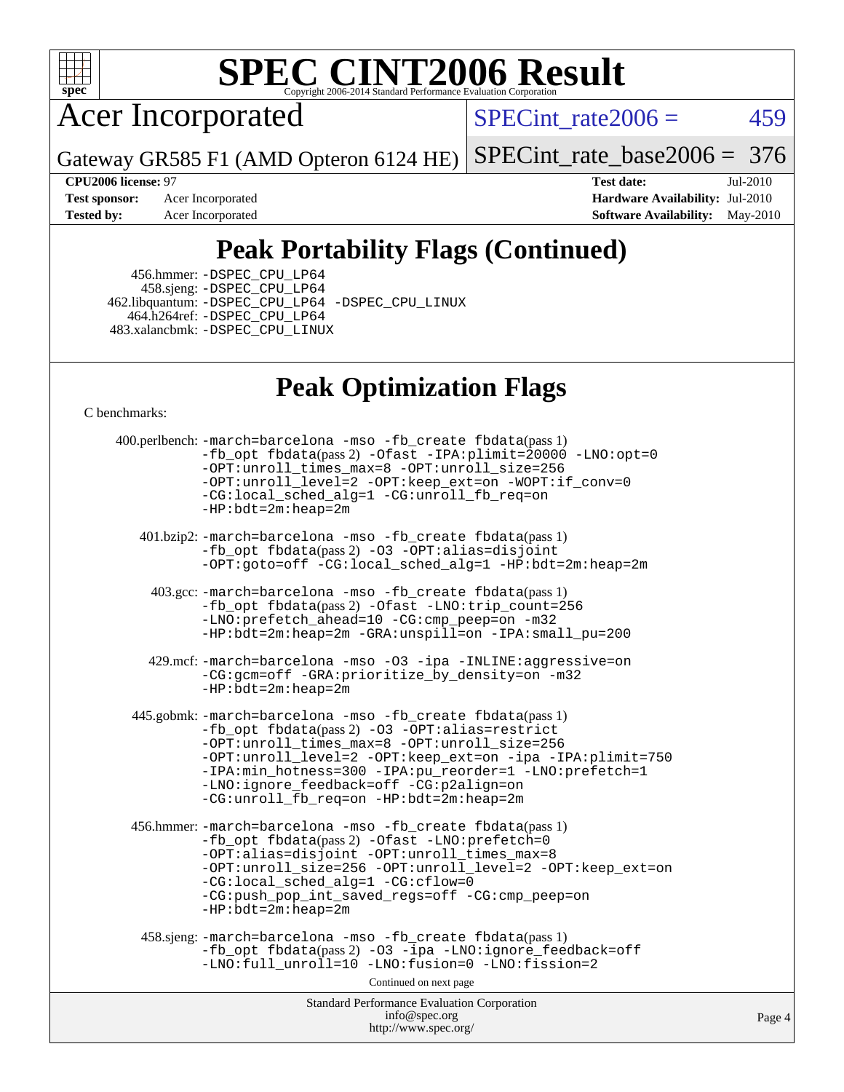

# **[SPEC CINT2006 Result](http://www.spec.org/auto/cpu2006/Docs/result-fields.html#SPECCINT2006Result)**

Acer Incorporated

 $SPECTnt_rate2006 = 459$ 

Gateway GR585 F1 (AMD Opteron 6124 HE) [SPECint\\_rate\\_base2006 =](http://www.spec.org/auto/cpu2006/Docs/result-fields.html#SPECintratebase2006) 376

**[Test sponsor:](http://www.spec.org/auto/cpu2006/Docs/result-fields.html#Testsponsor)** Acer Incorporated **[Hardware Availability:](http://www.spec.org/auto/cpu2006/Docs/result-fields.html#HardwareAvailability)** Jul-2010

**[CPU2006 license:](http://www.spec.org/auto/cpu2006/Docs/result-fields.html#CPU2006license)** 97 **[Test date:](http://www.spec.org/auto/cpu2006/Docs/result-fields.html#Testdate)** Jul-2010 **[Tested by:](http://www.spec.org/auto/cpu2006/Docs/result-fields.html#Testedby)** Acer Incorporated **[Software Availability:](http://www.spec.org/auto/cpu2006/Docs/result-fields.html#SoftwareAvailability)** May-2010

# **[Peak Portability Flags \(Continued\)](http://www.spec.org/auto/cpu2006/Docs/result-fields.html#PeakPortabilityFlags)**

 456.hmmer: [-DSPEC\\_CPU\\_LP64](http://www.spec.org/cpu2006/results/res2010q3/cpu2006-20100826-13066.flags.html#suite_peakPORTABILITY456_hmmer_DSPEC_CPU_LP64) 458.sjeng: [-DSPEC\\_CPU\\_LP64](http://www.spec.org/cpu2006/results/res2010q3/cpu2006-20100826-13066.flags.html#suite_peakPORTABILITY458_sjeng_DSPEC_CPU_LP64) 462.libquantum: [-DSPEC\\_CPU\\_LP64](http://www.spec.org/cpu2006/results/res2010q3/cpu2006-20100826-13066.flags.html#suite_peakPORTABILITY462_libquantum_DSPEC_CPU_LP64) [-DSPEC\\_CPU\\_LINUX](http://www.spec.org/cpu2006/results/res2010q3/cpu2006-20100826-13066.flags.html#b462.libquantum_peakCPORTABILITY_DSPEC_CPU_LINUX) 464.h264ref: [-DSPEC\\_CPU\\_LP64](http://www.spec.org/cpu2006/results/res2010q3/cpu2006-20100826-13066.flags.html#suite_peakPORTABILITY464_h264ref_DSPEC_CPU_LP64) 483.xalancbmk: [-DSPEC\\_CPU\\_LINUX](http://www.spec.org/cpu2006/results/res2010q3/cpu2006-20100826-13066.flags.html#b483.xalancbmk_peakCXXPORTABILITY_DSPEC_CPU_LINUX)

## **[Peak Optimization Flags](http://www.spec.org/auto/cpu2006/Docs/result-fields.html#PeakOptimizationFlags)**

[C benchmarks](http://www.spec.org/auto/cpu2006/Docs/result-fields.html#Cbenchmarks):

Standard Performance Evaluation Corporation [info@spec.org](mailto:info@spec.org) <http://www.spec.org/> Page 4 400.perlbench: [-march=barcelona](http://www.spec.org/cpu2006/results/res2010q3/cpu2006-20100826-13066.flags.html#user_peakCCLD400_perlbench_F-march_8ea39521cada96f307a04d0b8b9c6ffb) [-mso](http://www.spec.org/cpu2006/results/res2010q3/cpu2006-20100826-13066.flags.html#user_peakCCLD400_perlbench_F-mso) [-fb\\_create fbdata](http://www.spec.org/cpu2006/results/res2010q3/cpu2006-20100826-13066.flags.html#user_peakPASS1_CFLAGSPASS1_LDFLAGS400_perlbench_F-fb_create_filename)(pass 1) [-fb\\_opt fbdata](http://www.spec.org/cpu2006/results/res2010q3/cpu2006-20100826-13066.flags.html#user_peakPASS2_CFLAGSPASS2_LDFLAGS400_perlbench_F-fb_opt_filename)(pass 2) [-Ofast](http://www.spec.org/cpu2006/results/res2010q3/cpu2006-20100826-13066.flags.html#user_peakCOPTIMIZE400_perlbench_F-Ofast) [-IPA:plimit=20000](http://www.spec.org/cpu2006/results/res2010q3/cpu2006-20100826-13066.flags.html#user_peakCOPTIMIZE400_perlbench_F-IPA:plimit_89e6fd9421ace0d5dab294a0a1b8be33) [-LNO:opt=0](http://www.spec.org/cpu2006/results/res2010q3/cpu2006-20100826-13066.flags.html#user_peakCOPTIMIZE400_perlbench_F-LNO:opt_b91e8b13d06f45039299c6496cc69a5f) [-OPT:unroll\\_times\\_max=8](http://www.spec.org/cpu2006/results/res2010q3/cpu2006-20100826-13066.flags.html#user_peakCOPTIMIZE400_perlbench_F-OPT:unroll_times_max_1ad8852298ca2c36a68b2d007aae0e22) [-OPT:unroll\\_size=256](http://www.spec.org/cpu2006/results/res2010q3/cpu2006-20100826-13066.flags.html#user_peakCOPTIMIZE400_perlbench_F-OPT:unroll_size_dfa492f42f50f580c3837c8b22d14f27) [-OPT:unroll\\_level=2](http://www.spec.org/cpu2006/results/res2010q3/cpu2006-20100826-13066.flags.html#user_peakCOPTIMIZE400_perlbench_F-OPT:unroll_level_2cd767e66711a193dd7aad8ffe1e4d20) [-OPT:keep\\_ext=on](http://www.spec.org/cpu2006/results/res2010q3/cpu2006-20100826-13066.flags.html#user_peakCOPTIMIZE400_perlbench_F-OPT:keep_ext_4dbb9969188886aadf10437ce9577910) [-WOPT:if\\_conv=0](http://www.spec.org/cpu2006/results/res2010q3/cpu2006-20100826-13066.flags.html#user_peakCOPTIMIZE400_perlbench_F-WOPT:if_conv_3763321a358ff896b32d6152fd83e145) [-CG:local\\_sched\\_alg=1](http://www.spec.org/cpu2006/results/res2010q3/cpu2006-20100826-13066.flags.html#user_peakCOPTIMIZE400_perlbench_F-CG:local_sched_alg_2175ca61f1a2717f1ec57b14995b9e7a) [-CG:unroll\\_fb\\_req=on](http://www.spec.org/cpu2006/results/res2010q3/cpu2006-20100826-13066.flags.html#user_peakCOPTIMIZE400_perlbench_F-CG:unroll_fb_req_6669f978801820a53c68eded7a4f0485) [-HP:bdt=2m:heap=2m](http://www.spec.org/cpu2006/results/res2010q3/cpu2006-20100826-13066.flags.html#user_peakCOPTIMIZE400_perlbench_F-HUGEPAGE_855e97383b49831f390a2af16fe7202f) 401.bzip2: [-march=barcelona](http://www.spec.org/cpu2006/results/res2010q3/cpu2006-20100826-13066.flags.html#user_peakCCLD401_bzip2_F-march_8ea39521cada96f307a04d0b8b9c6ffb) [-mso](http://www.spec.org/cpu2006/results/res2010q3/cpu2006-20100826-13066.flags.html#user_peakCCLD401_bzip2_F-mso) [-fb\\_create fbdata](http://www.spec.org/cpu2006/results/res2010q3/cpu2006-20100826-13066.flags.html#user_peakPASS1_CFLAGSPASS1_LDFLAGS401_bzip2_F-fb_create_filename)(pass 1) [-fb\\_opt fbdata](http://www.spec.org/cpu2006/results/res2010q3/cpu2006-20100826-13066.flags.html#user_peakPASS2_CFLAGSPASS2_LDFLAGS401_bzip2_F-fb_opt_filename)(pass 2) [-O3](http://www.spec.org/cpu2006/results/res2010q3/cpu2006-20100826-13066.flags.html#user_peakCOPTIMIZE401_bzip2_F-O3) [-OPT:alias=disjoint](http://www.spec.org/cpu2006/results/res2010q3/cpu2006-20100826-13066.flags.html#user_peakCOPTIMIZE401_bzip2_F-OPT:alias_af85d624bc8c113f27b06a81a9df063d) [-OPT:goto=off](http://www.spec.org/cpu2006/results/res2010q3/cpu2006-20100826-13066.flags.html#user_peakCOPTIMIZE401_bzip2_F-OPT:goto_b8760493db7ddb90acc865b6d90bb5de) [-CG:local\\_sched\\_alg=1](http://www.spec.org/cpu2006/results/res2010q3/cpu2006-20100826-13066.flags.html#user_peakCOPTIMIZE401_bzip2_F-CG:local_sched_alg_2175ca61f1a2717f1ec57b14995b9e7a) [-HP:bdt=2m:heap=2m](http://www.spec.org/cpu2006/results/res2010q3/cpu2006-20100826-13066.flags.html#user_peakCOPTIMIZE401_bzip2_F-HUGEPAGE_855e97383b49831f390a2af16fe7202f) 403.gcc: [-march=barcelona](http://www.spec.org/cpu2006/results/res2010q3/cpu2006-20100826-13066.flags.html#user_peakCCLD403_gcc_F-march_8ea39521cada96f307a04d0b8b9c6ffb) [-mso](http://www.spec.org/cpu2006/results/res2010q3/cpu2006-20100826-13066.flags.html#user_peakCCLD403_gcc_F-mso) [-fb\\_create fbdata](http://www.spec.org/cpu2006/results/res2010q3/cpu2006-20100826-13066.flags.html#user_peakPASS1_CFLAGSPASS1_LDFLAGS403_gcc_F-fb_create_filename)(pass 1) [-fb\\_opt fbdata](http://www.spec.org/cpu2006/results/res2010q3/cpu2006-20100826-13066.flags.html#user_peakPASS2_CFLAGSPASS2_LDFLAGS403_gcc_F-fb_opt_filename)(pass 2) [-Ofast](http://www.spec.org/cpu2006/results/res2010q3/cpu2006-20100826-13066.flags.html#user_peakCOPTIMIZE403_gcc_F-Ofast) [-LNO:trip\\_count=256](http://www.spec.org/cpu2006/results/res2010q3/cpu2006-20100826-13066.flags.html#user_peakCOPTIMIZE403_gcc_F-LNO:trip_count_fda57506a3ecf9651535a9a8fb03b434) [-LNO:prefetch\\_ahead=10](http://www.spec.org/cpu2006/results/res2010q3/cpu2006-20100826-13066.flags.html#user_peakCOPTIMIZE403_gcc_F-LNO:prefetch_ahead_dd92ad2fa0fda9c22e1b1c18e5a8e304) [-CG:cmp\\_peep=on](http://www.spec.org/cpu2006/results/res2010q3/cpu2006-20100826-13066.flags.html#user_peakCOPTIMIZE403_gcc_F-CG:cmp_peep_ab90c979e95bee1f1f617a32622424ed) [-m32](http://www.spec.org/cpu2006/results/res2010q3/cpu2006-20100826-13066.flags.html#user_peakCOPTIMIZE403_gcc_F-m32) [-HP:bdt=2m:heap=2m](http://www.spec.org/cpu2006/results/res2010q3/cpu2006-20100826-13066.flags.html#user_peakCOPTIMIZE403_gcc_F-HUGEPAGE_855e97383b49831f390a2af16fe7202f) [-GRA:unspill=on](http://www.spec.org/cpu2006/results/res2010q3/cpu2006-20100826-13066.flags.html#user_peakCOPTIMIZE403_gcc_F-GRA:unspill_1a6c98043856890311246be72b057593) [-IPA:small\\_pu=200](http://www.spec.org/cpu2006/results/res2010q3/cpu2006-20100826-13066.flags.html#user_peakCOPTIMIZE403_gcc_F-IPA:small_pu_9e003d10925fc6bd9336e5337d9e3a22) 429.mcf: [-march=barcelona](http://www.spec.org/cpu2006/results/res2010q3/cpu2006-20100826-13066.flags.html#user_peakCCLD429_mcf_F-march_8ea39521cada96f307a04d0b8b9c6ffb) [-mso](http://www.spec.org/cpu2006/results/res2010q3/cpu2006-20100826-13066.flags.html#user_peakCCLD429_mcf_F-mso) [-O3](http://www.spec.org/cpu2006/results/res2010q3/cpu2006-20100826-13066.flags.html#user_peakCOPTIMIZE429_mcf_F-O3) [-ipa](http://www.spec.org/cpu2006/results/res2010q3/cpu2006-20100826-13066.flags.html#user_peakCOPTIMIZE429_mcf_F-ipa) [-INLINE:aggressive=on](http://www.spec.org/cpu2006/results/res2010q3/cpu2006-20100826-13066.flags.html#user_peakCOPTIMIZE429_mcf_F-INLINE:aggressive_e14807c0a1e56a6a83cb25ab07c7ae8a) [-CG:gcm=off](http://www.spec.org/cpu2006/results/res2010q3/cpu2006-20100826-13066.flags.html#user_peakCOPTIMIZE429_mcf_F-CG:gcm_3afc0477d086a9a9afc1ccea25488f06) [-GRA:prioritize\\_by\\_density=on](http://www.spec.org/cpu2006/results/res2010q3/cpu2006-20100826-13066.flags.html#user_peakCOPTIMIZE429_mcf_F-GRA:prioritize_by_density_342c4fb73fe18829f920373223f095a5) [-m32](http://www.spec.org/cpu2006/results/res2010q3/cpu2006-20100826-13066.flags.html#user_peakCOPTIMIZE429_mcf_F-m32) [-HP:bdt=2m:heap=2m](http://www.spec.org/cpu2006/results/res2010q3/cpu2006-20100826-13066.flags.html#user_peakCOPTIMIZE429_mcf_F-HUGEPAGE_855e97383b49831f390a2af16fe7202f) 445.gobmk: [-march=barcelona](http://www.spec.org/cpu2006/results/res2010q3/cpu2006-20100826-13066.flags.html#user_peakCCLD445_gobmk_F-march_8ea39521cada96f307a04d0b8b9c6ffb) [-mso](http://www.spec.org/cpu2006/results/res2010q3/cpu2006-20100826-13066.flags.html#user_peakCCLD445_gobmk_F-mso) [-fb\\_create fbdata](http://www.spec.org/cpu2006/results/res2010q3/cpu2006-20100826-13066.flags.html#user_peakPASS1_CFLAGSPASS1_LDFLAGS445_gobmk_F-fb_create_filename)(pass 1) [-fb\\_opt fbdata](http://www.spec.org/cpu2006/results/res2010q3/cpu2006-20100826-13066.flags.html#user_peakPASS2_CFLAGSPASS2_LDFLAGS445_gobmk_F-fb_opt_filename)(pass 2) [-O3](http://www.spec.org/cpu2006/results/res2010q3/cpu2006-20100826-13066.flags.html#user_peakCOPTIMIZE445_gobmk_F-O3) [-OPT:alias=restrict](http://www.spec.org/cpu2006/results/res2010q3/cpu2006-20100826-13066.flags.html#user_peakCOPTIMIZE445_gobmk_F-OPT:alias_f74f95116c143118d3b7a69b27e837c8) [-OPT:unroll\\_times\\_max=8](http://www.spec.org/cpu2006/results/res2010q3/cpu2006-20100826-13066.flags.html#user_peakCOPTIMIZE445_gobmk_F-OPT:unroll_times_max_1ad8852298ca2c36a68b2d007aae0e22) [-OPT:unroll\\_size=256](http://www.spec.org/cpu2006/results/res2010q3/cpu2006-20100826-13066.flags.html#user_peakCOPTIMIZE445_gobmk_F-OPT:unroll_size_dfa492f42f50f580c3837c8b22d14f27) [-OPT:unroll\\_level=2](http://www.spec.org/cpu2006/results/res2010q3/cpu2006-20100826-13066.flags.html#user_peakCOPTIMIZE445_gobmk_F-OPT:unroll_level_2cd767e66711a193dd7aad8ffe1e4d20) [-OPT:keep\\_ext=on](http://www.spec.org/cpu2006/results/res2010q3/cpu2006-20100826-13066.flags.html#user_peakCOPTIMIZE445_gobmk_F-OPT:keep_ext_4dbb9969188886aadf10437ce9577910) [-ipa](http://www.spec.org/cpu2006/results/res2010q3/cpu2006-20100826-13066.flags.html#user_peakCOPTIMIZE445_gobmk_F-ipa) [-IPA:plimit=750](http://www.spec.org/cpu2006/results/res2010q3/cpu2006-20100826-13066.flags.html#user_peakCOPTIMIZE445_gobmk_F-IPA:plimit_d12b7edf4800746ab824f3a01a8ce117) [-IPA:min\\_hotness=300](http://www.spec.org/cpu2006/results/res2010q3/cpu2006-20100826-13066.flags.html#user_peakCOPTIMIZE445_gobmk_F-IPA:min_hotness_a22c9a7839d9fc5b8df1b53fa3adec91) [-IPA:pu\\_reorder=1](http://www.spec.org/cpu2006/results/res2010q3/cpu2006-20100826-13066.flags.html#user_peakCOPTIMIZE445_gobmk_F-IPA:pu_reorder_05e26b42f44c94362cdc386b470e6fd6) [-LNO:prefetch=1](http://www.spec.org/cpu2006/results/res2010q3/cpu2006-20100826-13066.flags.html#user_peakCOPTIMIZE445_gobmk_F-LNO:prefetch_0e04e5068d643a77d1eab8e86f5e8697) [-LNO:ignore\\_feedback=off](http://www.spec.org/cpu2006/results/res2010q3/cpu2006-20100826-13066.flags.html#user_peakCOPTIMIZE445_gobmk_F-LNO:ignore_feedback_1d6d06f39185b277a955c10dfd0a9a73) [-CG:p2align=on](http://www.spec.org/cpu2006/results/res2010q3/cpu2006-20100826-13066.flags.html#user_peakCOPTIMIZE445_gobmk_F-CG:p2align_eb931ffc34bd15f54521908a4451bda2) [-CG:unroll\\_fb\\_req=on](http://www.spec.org/cpu2006/results/res2010q3/cpu2006-20100826-13066.flags.html#user_peakCOPTIMIZE445_gobmk_F-CG:unroll_fb_req_6669f978801820a53c68eded7a4f0485) [-HP:bdt=2m:heap=2m](http://www.spec.org/cpu2006/results/res2010q3/cpu2006-20100826-13066.flags.html#user_peakCOPTIMIZE445_gobmk_F-HUGEPAGE_855e97383b49831f390a2af16fe7202f) 456.hmmer: [-march=barcelona](http://www.spec.org/cpu2006/results/res2010q3/cpu2006-20100826-13066.flags.html#user_peakCCLD456_hmmer_F-march_8ea39521cada96f307a04d0b8b9c6ffb) [-mso](http://www.spec.org/cpu2006/results/res2010q3/cpu2006-20100826-13066.flags.html#user_peakCCLD456_hmmer_F-mso) [-fb\\_create fbdata](http://www.spec.org/cpu2006/results/res2010q3/cpu2006-20100826-13066.flags.html#user_peakPASS1_CFLAGSPASS1_LDFLAGS456_hmmer_F-fb_create_filename)(pass 1) [-fb\\_opt fbdata](http://www.spec.org/cpu2006/results/res2010q3/cpu2006-20100826-13066.flags.html#user_peakPASS2_CFLAGSPASS2_LDFLAGS456_hmmer_F-fb_opt_filename)(pass 2) [-Ofast](http://www.spec.org/cpu2006/results/res2010q3/cpu2006-20100826-13066.flags.html#user_peakCOPTIMIZE456_hmmer_F-Ofast) [-LNO:prefetch=0](http://www.spec.org/cpu2006/results/res2010q3/cpu2006-20100826-13066.flags.html#user_peakCOPTIMIZE456_hmmer_F-LNO:prefetch_697fbd9f9feab3edac5397fc7beec995) [-OPT:alias=disjoint](http://www.spec.org/cpu2006/results/res2010q3/cpu2006-20100826-13066.flags.html#user_peakCOPTIMIZE456_hmmer_F-OPT:alias_af85d624bc8c113f27b06a81a9df063d) [-OPT:unroll\\_times\\_max=8](http://www.spec.org/cpu2006/results/res2010q3/cpu2006-20100826-13066.flags.html#user_peakCOPTIMIZE456_hmmer_F-OPT:unroll_times_max_1ad8852298ca2c36a68b2d007aae0e22) [-OPT:unroll\\_size=256](http://www.spec.org/cpu2006/results/res2010q3/cpu2006-20100826-13066.flags.html#user_peakCOPTIMIZE456_hmmer_F-OPT:unroll_size_dfa492f42f50f580c3837c8b22d14f27) [-OPT:unroll\\_level=2](http://www.spec.org/cpu2006/results/res2010q3/cpu2006-20100826-13066.flags.html#user_peakCOPTIMIZE456_hmmer_F-OPT:unroll_level_2cd767e66711a193dd7aad8ffe1e4d20) [-OPT:keep\\_ext=on](http://www.spec.org/cpu2006/results/res2010q3/cpu2006-20100826-13066.flags.html#user_peakCOPTIMIZE456_hmmer_F-OPT:keep_ext_4dbb9969188886aadf10437ce9577910) [-CG:local\\_sched\\_alg=1](http://www.spec.org/cpu2006/results/res2010q3/cpu2006-20100826-13066.flags.html#user_peakCOPTIMIZE456_hmmer_F-CG:local_sched_alg_2175ca61f1a2717f1ec57b14995b9e7a) [-CG:cflow=0](http://www.spec.org/cpu2006/results/res2010q3/cpu2006-20100826-13066.flags.html#user_peakCOPTIMIZE456_hmmer_F-CG:cflow_75ba632a6a95410c488fc5f313a16b42) [-CG:push\\_pop\\_int\\_saved\\_regs=off](http://www.spec.org/cpu2006/results/res2010q3/cpu2006-20100826-13066.flags.html#user_peakCOPTIMIZE456_hmmer_F-CG:push_pop_int_saved_regs_ae095e4f8df972ca26c2c920052f27bf) [-CG:cmp\\_peep=on](http://www.spec.org/cpu2006/results/res2010q3/cpu2006-20100826-13066.flags.html#user_peakCOPTIMIZE456_hmmer_F-CG:cmp_peep_ab90c979e95bee1f1f617a32622424ed) [-HP:bdt=2m:heap=2m](http://www.spec.org/cpu2006/results/res2010q3/cpu2006-20100826-13066.flags.html#user_peakCOPTIMIZE456_hmmer_F-HUGEPAGE_855e97383b49831f390a2af16fe7202f) 458.sjeng: [-march=barcelona](http://www.spec.org/cpu2006/results/res2010q3/cpu2006-20100826-13066.flags.html#user_peakCCLD458_sjeng_F-march_8ea39521cada96f307a04d0b8b9c6ffb) [-mso](http://www.spec.org/cpu2006/results/res2010q3/cpu2006-20100826-13066.flags.html#user_peakCCLD458_sjeng_F-mso) [-fb\\_create fbdata](http://www.spec.org/cpu2006/results/res2010q3/cpu2006-20100826-13066.flags.html#user_peakPASS1_CFLAGSPASS1_LDFLAGS458_sjeng_F-fb_create_filename)(pass 1) [-fb\\_opt fbdata](http://www.spec.org/cpu2006/results/res2010q3/cpu2006-20100826-13066.flags.html#user_peakPASS2_CFLAGSPASS2_LDFLAGS458_sjeng_F-fb_opt_filename)(pass 2) [-O3](http://www.spec.org/cpu2006/results/res2010q3/cpu2006-20100826-13066.flags.html#user_peakCOPTIMIZE458_sjeng_F-O3) [-ipa](http://www.spec.org/cpu2006/results/res2010q3/cpu2006-20100826-13066.flags.html#user_peakCOPTIMIZE458_sjeng_F-ipa) [-LNO:ignore\\_feedback=off](http://www.spec.org/cpu2006/results/res2010q3/cpu2006-20100826-13066.flags.html#user_peakCOPTIMIZE458_sjeng_F-LNO:ignore_feedback_1d6d06f39185b277a955c10dfd0a9a73) -LNO:full unroll=10 [-LNO:fusion=0](http://www.spec.org/cpu2006/results/res2010q3/cpu2006-20100826-13066.flags.html#user_peakCOPTIMIZE458_sjeng_F-LNO:fusion_780806b4edf541d16351f44d74cd5b96) [-LNO:fission=2](http://www.spec.org/cpu2006/results/res2010q3/cpu2006-20100826-13066.flags.html#user_peakCOPTIMIZE458_sjeng_F-LNO:fission_5cab2649267e6bc8b61d14b4fdbc5ab6) Continued on next page